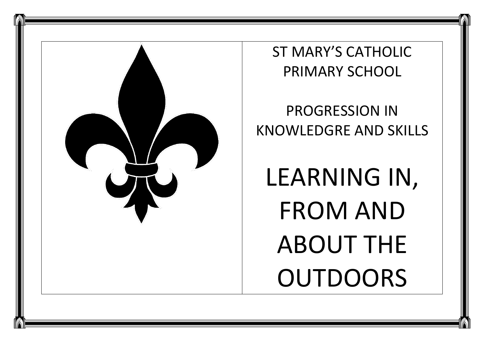

ST MARY'S CATHOLIC PRIMARY SCHOOL

PROGRESSION IN KNOWLEDGRE AND SKILLS

LEARNING IN, FROM AND ABOUT THE OUTDOORS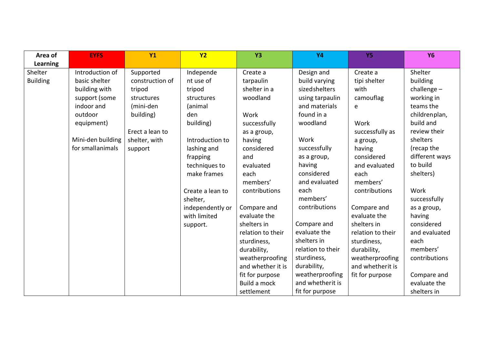| Area of         | <b>EYFS</b>       | <b>Y1</b>       | Y <sub>2</sub>   | <b>Y3</b>         | <b>Y4</b>         | <b>Y5</b>         | <b>Y6</b>      |
|-----------------|-------------------|-----------------|------------------|-------------------|-------------------|-------------------|----------------|
| Learning        |                   |                 |                  |                   |                   |                   |                |
| Shelter         | Introduction of   | Supported       | Independe        | Create a          | Design and        | Create a          | Shelter        |
| <b>Building</b> | basic shelter     | construction of | nt use of        | tarpaulin         | build varying     | tipi shelter      | building       |
|                 | building with     | tripod          | tripod           | shelter in a      | sizedshelters     | with              | challenge $-$  |
|                 | support (some     | structures      | structures       | woodland          | using tarpaulin   | camouflag         | working in     |
|                 | indoor and        | (mini-den       | (animal          |                   | and materials     | e                 | teams the      |
|                 | outdoor           | building)       | den              | Work              | found in a        |                   | childrenplan,  |
|                 | equipment)        |                 | building)        | successfully      | woodland          | Work              | build and      |
|                 |                   | Erect a lean to |                  | as a group,       |                   | successfully as   | review their   |
|                 | Mini-den building | shelter, with   | Introduction to  | having            | Work              | a group,          | shelters       |
|                 | for small animals | support         | lashing and      | considered        | successfully      | having            | (recap the     |
|                 |                   |                 | frapping         | and               | as a group,       | considered        | different ways |
|                 |                   |                 | techniques to    | evaluated         | having            | and evaluated     | to build       |
|                 |                   |                 | make frames      | each              | considered        | each              | shelters)      |
|                 |                   |                 |                  | members'          | and evaluated     | members'          |                |
|                 |                   |                 | Create a lean to | contributions     | each              | contributions     | Work           |
|                 |                   |                 | shelter,         |                   | members'          |                   | successfully   |
|                 |                   |                 | independently or | Compare and       | contributions     | Compare and       | as a group,    |
|                 |                   |                 | with limited     | evaluate the      |                   | evaluate the      | having         |
|                 |                   |                 | support.         | shelters in       | Compare and       | shelters in       | considered     |
|                 |                   |                 |                  | relation to their | evaluate the      | relation to their | and evaluated  |
|                 |                   |                 |                  | sturdiness,       | shelters in       | sturdiness,       | each           |
|                 |                   |                 |                  | durability,       | relation to their | durability,       | members'       |
|                 |                   |                 |                  | weatherproofing   | sturdiness,       | weatherproofing   | contributions  |
|                 |                   |                 |                  | and whether it is | durability,       | and whetherit is  |                |
|                 |                   |                 |                  | fit for purpose   | weatherproofing   | fit for purpose   | Compare and    |
|                 |                   |                 |                  | Build a mock      | and whetherit is  |                   | evaluate the   |
|                 |                   |                 |                  | settlement        | fit for purpose   |                   | shelters in    |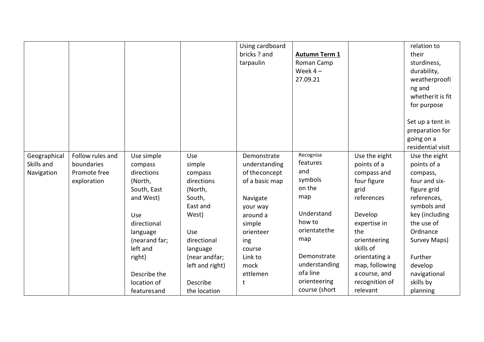|              |                  |               |                 | Using cardboard |                      |                | relation to       |
|--------------|------------------|---------------|-----------------|-----------------|----------------------|----------------|-------------------|
|              |                  |               |                 | bricks ? and    | <b>Autumn Term 1</b> |                | their             |
|              |                  |               |                 | tarpaulin       | Roman Camp           |                | sturdiness,       |
|              |                  |               |                 |                 | Week $4-$            |                | durability,       |
|              |                  |               |                 |                 | 27.09.21             |                | weatherproofi     |
|              |                  |               |                 |                 |                      |                | ng and            |
|              |                  |               |                 |                 |                      |                | whetherit is fit  |
|              |                  |               |                 |                 |                      |                | for purpose       |
|              |                  |               |                 |                 |                      |                |                   |
|              |                  |               |                 |                 |                      |                | Set up a tent in  |
|              |                  |               |                 |                 |                      |                | preparation for   |
|              |                  |               |                 |                 |                      |                | going on a        |
|              |                  |               |                 |                 |                      |                | residential visit |
| Geographical | Follow rules and | Use simple    | Use             | Demonstrate     | Recognise            | Use the eight  | Use the eight     |
| Skills and   | boundaries       | compass       | simple          | understanding   | features             | points of a    | points of a       |
| Navigation   | Promote free     | directions    | compass         | of the concept  | and                  | compass and    | compass,          |
|              | exploration      | (North,       | directions      | of a basic map  | symbols              | four figure    | four and six-     |
|              |                  | South, East   | (North,         |                 | on the               | grid           | figure grid       |
|              |                  | and West)     | South,          | Navigate        | map                  | references     | references,       |
|              |                  |               | East and        | your way        |                      |                | symbols and       |
|              |                  | Use           | West)           | around a        | Understand           | Develop        | key (including    |
|              |                  | directional   |                 | simple          | how to               | expertise in   | the use of        |
|              |                  | language      | Use             | orienteer       | orientatethe         | the            | Ordnance          |
|              |                  | (nearand far; | directional     | ing             | map                  | orienteering   | Survey Maps)      |
|              |                  | left and      | language        | course          |                      | skills of      |                   |
|              |                  | right)        | (near andfar;   | Link to         | Demonstrate          | orientating a  | Further           |
|              |                  |               | left and right) | mock            | understanding        | map, following | develop           |
|              |                  | Describe the  |                 | ettlemen        | ofa line             | a course, and  | navigational      |
|              |                  | location of   | Describe        | t               | orienteering         | recognition of | skills by         |
|              |                  | featuresand   | the location    |                 | course (short        | relevant       | planning          |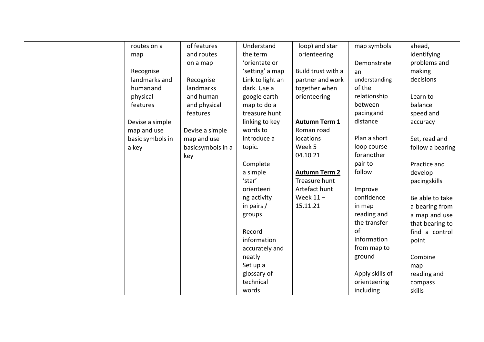|  | routes on a      | of features       | Understand       | loop) and star       | map symbols     | ahead,           |
|--|------------------|-------------------|------------------|----------------------|-----------------|------------------|
|  | map              | and routes        | the term         | orienteering         |                 | identifying      |
|  |                  | on a map          | 'orientate or    |                      | Demonstrate     | problems and     |
|  | Recognise        |                   | 'setting' a map  | Build trust with a   | an              | making           |
|  | landmarks and    | Recognise         | Link to light an | partner and work     | understanding   | decisions        |
|  | humanand         | landmarks         | dark. Use a      | together when        | of the          |                  |
|  | physical         | and human         | google earth     | orienteering         | relationship    | Learn to         |
|  | features         | and physical      | map to do a      |                      | between         | balance          |
|  |                  | features          | treasure hunt    |                      | pacingand       | speed and        |
|  | Devise a simple  |                   | linking to key   | <b>Autumn Term 1</b> | distance        | accuracy         |
|  | map and use      | Devise a simple   | words to         | Roman road           |                 |                  |
|  | basic symbols in | map and use       | introduce a      | locations            | Plan a short    | Set, read and    |
|  | a key            | basicsymbols in a | topic.           | Week $5 -$           | loop course     | follow a bearing |
|  |                  | key               |                  | 04.10.21             | foranother      |                  |
|  |                  |                   | Complete         |                      | pair to         | Practice and     |
|  |                  |                   | a simple         | <b>Autumn Term 2</b> | follow          | develop          |
|  |                  |                   | 'star'           | Treasure hunt        |                 | pacingskills     |
|  |                  |                   | orienteeri       | Artefact hunt        | Improve         |                  |
|  |                  |                   | ng activity      | Week $11 -$          | confidence      | Be able to take  |
|  |                  |                   | in pairs /       | 15.11.21             | in map          | a bearing from   |
|  |                  |                   | groups           |                      | reading and     | a map and use    |
|  |                  |                   |                  |                      | the transfer    | that bearing to  |
|  |                  |                   | Record           |                      | of              | find a control   |
|  |                  |                   | information      |                      | information     | point            |
|  |                  |                   | accurately and   |                      | from map to     |                  |
|  |                  |                   | neatly           |                      | ground          | Combine          |
|  |                  |                   | Set up a         |                      |                 | map              |
|  |                  |                   | glossary of      |                      | Apply skills of | reading and      |
|  |                  |                   | technical        |                      | orienteering    | compass          |
|  |                  |                   | words            |                      | including       | skills           |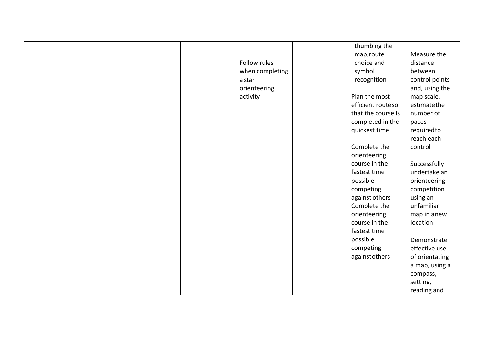|  |  |                 | thumbing the       |                |
|--|--|-----------------|--------------------|----------------|
|  |  |                 | map, route         | Measure the    |
|  |  | Follow rules    | choice and         | distance       |
|  |  | when completing | symbol             | between        |
|  |  | a star          | recognition        | control points |
|  |  | orienteering    |                    | and, using the |
|  |  | activity        | Plan the most      | map scale,     |
|  |  |                 | efficient routeso  | estimatethe    |
|  |  |                 | that the course is | number of      |
|  |  |                 | completed in the   | paces          |
|  |  |                 | quickest time      | requiredto     |
|  |  |                 |                    | reach each     |
|  |  |                 | Complete the       | control        |
|  |  |                 | orienteering       |                |
|  |  |                 | course in the      | Successfully   |
|  |  |                 | fastest time       | undertake an   |
|  |  |                 | possible           | orienteering   |
|  |  |                 | competing          | competition    |
|  |  |                 | against others     | using an       |
|  |  |                 | Complete the       | unfamiliar     |
|  |  |                 | orienteering       | map in anew    |
|  |  |                 | course in the      | location       |
|  |  |                 | fastest time       |                |
|  |  |                 | possible           | Demonstrate    |
|  |  |                 | competing          | effective use  |
|  |  |                 | againstothers      | of orientating |
|  |  |                 |                    | a map, using a |
|  |  |                 |                    | compass,       |
|  |  |                 |                    | setting,       |
|  |  |                 |                    | reading and    |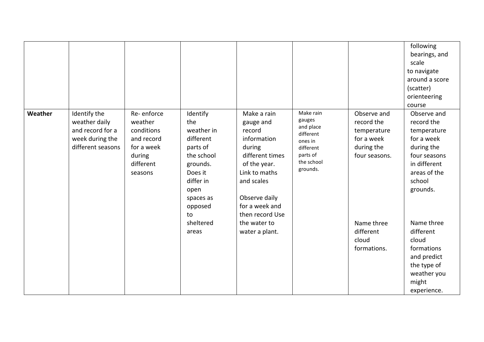|         |                                                                                           |                                                                                                   |                                                                                                                                                |                                                                                                                                                                                     |                                                                                                             |                                                                                       | following<br>bearings, and<br>scale<br>to navigate<br>around a score<br>(scatter)<br>orienteering<br>course                                |
|---------|-------------------------------------------------------------------------------------------|---------------------------------------------------------------------------------------------------|------------------------------------------------------------------------------------------------------------------------------------------------|-------------------------------------------------------------------------------------------------------------------------------------------------------------------------------------|-------------------------------------------------------------------------------------------------------------|---------------------------------------------------------------------------------------|--------------------------------------------------------------------------------------------------------------------------------------------|
| Weather | Identify the<br>weather daily<br>and record for a<br>week during the<br>different seasons | Re-enforce<br>weather<br>conditions<br>and record<br>for a week<br>during<br>different<br>seasons | Identify<br>the<br>weather in<br>different<br>parts of<br>the school<br>grounds.<br>Does it<br>differ in<br>open<br>spaces as<br>opposed<br>to | Make a rain<br>gauge and<br>record<br>information<br>during<br>different times<br>of the year.<br>Link to maths<br>and scales<br>Observe daily<br>for a week and<br>then record Use | Make rain<br>gauges<br>and place<br>different<br>ones in<br>different<br>parts of<br>the school<br>grounds. | Observe and<br>record the<br>temperature<br>for a week<br>during the<br>four seasons. | Observe and<br>record the<br>temperature<br>for a week<br>during the<br>four seasons<br>in different<br>areas of the<br>school<br>grounds. |
|         |                                                                                           |                                                                                                   | sheltered<br>areas                                                                                                                             | the water to<br>water a plant.                                                                                                                                                      |                                                                                                             | Name three<br>different<br>cloud<br>formations.                                       | Name three<br>different<br>cloud<br>formations<br>and predict<br>the type of<br>weather you<br>might<br>experience.                        |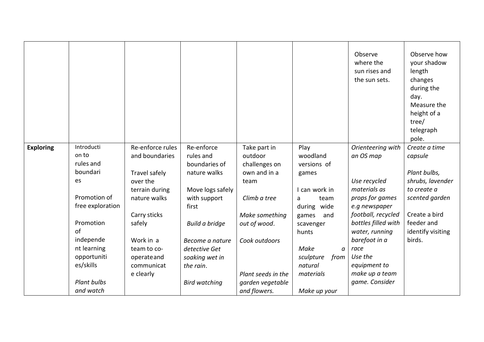|                  |                  |                  |                      |                    |                   | Observe<br>where the<br>sun rises and<br>the sun sets. | Observe how<br>your shadow<br>length<br>changes<br>during the<br>day.<br>Measure the<br>height of a<br>tree/<br>telegraph<br>pole. |
|------------------|------------------|------------------|----------------------|--------------------|-------------------|--------------------------------------------------------|------------------------------------------------------------------------------------------------------------------------------------|
| <b>Exploring</b> | Introducti       | Re-enforce rules | Re-enforce           | Take part in       | Play              | Orienteering with                                      | Create a time                                                                                                                      |
|                  | on to            | and boundaries   | rules and            | outdoor            | woodland          | an OS map                                              | capsule                                                                                                                            |
|                  | rules and        |                  | boundaries of        | challenges on      | versions of       |                                                        |                                                                                                                                    |
|                  | boundari         | Travel safely    | nature walks         | own and in a       | games             |                                                        | Plant bulbs,                                                                                                                       |
|                  | es               | over the         |                      | team               |                   | Use recycled                                           | shrubs, lavender                                                                                                                   |
|                  |                  | terrain during   | Move logs safely     |                    | I can work in     | materials as                                           | to create a                                                                                                                        |
|                  | Promotion of     | nature walks     | with support         | Climb a tree       | team<br>a         | props for games                                        | scented garden                                                                                                                     |
|                  | free exploration |                  | first                |                    | during wide       | e.g newspaper                                          |                                                                                                                                    |
|                  |                  | Carry sticks     |                      | Make something     | games<br>and      | football, recycled                                     | Create a bird                                                                                                                      |
|                  | Promotion        | safely           | Build a bridge       | out of wood.       | scavenger         | bottles filled with                                    | feeder and                                                                                                                         |
|                  | of               |                  |                      |                    | hunts             | water, running                                         | identify visiting                                                                                                                  |
|                  | independe        | Work in a        | Become a nature      | Cook outdoors      |                   | barefoot in a                                          | birds.                                                                                                                             |
|                  | nt learning      | team to co-      | detective Get        |                    | Make<br>$\alpha$  | race                                                   |                                                                                                                                    |
|                  | opportuniti      | operateand       | soaking wet in       |                    | sculpture<br>from | Use the                                                |                                                                                                                                    |
|                  | es/skills        | communicat       | the rain.            |                    | natural           | equipment to                                           |                                                                                                                                    |
|                  |                  | e clearly        |                      | Plant seeds in the | materials         | make up a team                                         |                                                                                                                                    |
|                  | Plant bulbs      |                  | <b>Bird watching</b> | garden vegetable   |                   | game. Consider                                         |                                                                                                                                    |
|                  | and watch        |                  |                      | and flowers.       | Make up your      |                                                        |                                                                                                                                    |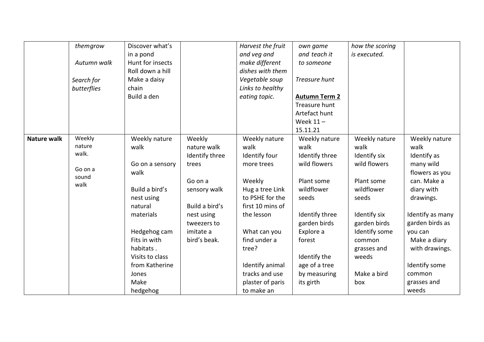|                    | themgrow         | Discover what's  |                | Harvest the fruit | own game             | how the scoring |                  |
|--------------------|------------------|------------------|----------------|-------------------|----------------------|-----------------|------------------|
|                    |                  | in a pond        |                | and veg and       | and teach it         | is executed.    |                  |
|                    | Autumn walk      | Hunt for insects |                | make different    | to someone           |                 |                  |
|                    |                  | Roll down a hill |                | dishes with them  |                      |                 |                  |
|                    | Search for       | Make a daisy     |                | Vegetable soup    | Treasure hunt        |                 |                  |
|                    | butterflies      | chain            |                | Links to healthy  |                      |                 |                  |
|                    |                  | Build a den      |                | eating topic.     | <b>Autumn Term 2</b> |                 |                  |
|                    |                  |                  |                |                   | Treasure hunt        |                 |                  |
|                    |                  |                  |                |                   | Artefact hunt        |                 |                  |
|                    |                  |                  |                |                   | Week $11 -$          |                 |                  |
|                    |                  |                  |                |                   | 15.11.21             |                 |                  |
| <b>Nature walk</b> | Weekly           | Weekly nature    | Weekly         | Weekly nature     | Weekly nature        | Weekly nature   | Weekly nature    |
|                    | nature           | walk             | nature walk    | walk              | walk                 | walk            | walk             |
|                    | walk.            |                  | Identify three | Identify four     | Identify three       | Identify six    | Identify as      |
|                    |                  | Go on a sensory  | trees          | more trees        | wild flowers         | wild flowers    | many wild        |
|                    | Go on a<br>sound | walk             |                |                   |                      |                 | flowers as you   |
|                    | walk             |                  | Go on a        | Weekly            | Plant some           | Plant some      | can. Make a      |
|                    |                  | Build a bird's   | sensory walk   | Hug a tree Link   | wildflower           | wildflower      | diary with       |
|                    |                  | nest using       |                | to PSHE for the   | seeds                | seeds           | drawings.        |
|                    |                  | natural          | Build a bird's | first 10 mins of  |                      |                 |                  |
|                    |                  | materials        | nest using     | the lesson        | Identify three       | Identify six    | Identify as many |
|                    |                  |                  | tweezers to    |                   | garden birds         | garden birds    | garden birds as  |
|                    |                  | Hedgehog cam     | imitate a      | What can you      | Explore a            | Identify some   | you can          |
|                    |                  | Fits in with     | bird's beak.   | find under a      | forest               | common          | Make a diary     |
|                    |                  | habitats.        |                | tree?             |                      | grasses and     | with drawings.   |
|                    |                  | Visits to class  |                |                   | Identify the         | weeds           |                  |
|                    |                  | from Katherine   |                | Identify animal   | age of a tree        |                 | Identify some    |
|                    |                  | Jones            |                | tracks and use    | by measuring         | Make a bird     | common           |
|                    |                  | Make             |                | plaster of paris  | its girth            | box             | grasses and      |
|                    |                  | hedgehog         |                | to make an        |                      |                 | weeds            |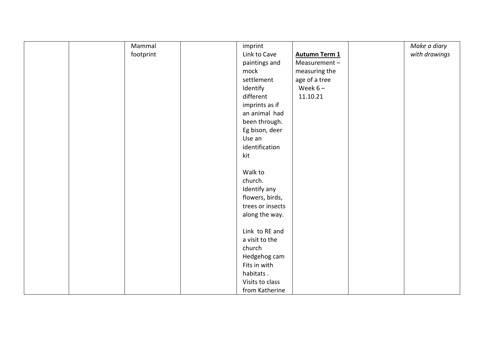| Mammal    | imprint          |                      | Make a diary  |
|-----------|------------------|----------------------|---------------|
| footprint | Link to Cave     | <b>Autumn Term 1</b> | with drawings |
|           | paintings and    | Measurement-         |               |
|           | mock             | measuring the        |               |
|           | settlement       | age of a tree        |               |
|           | Identify         | Week $6-$            |               |
|           | different        | 11.10.21             |               |
|           | imprints as if   |                      |               |
|           | an animal had    |                      |               |
|           | been through.    |                      |               |
|           | Eg bison, deer   |                      |               |
|           | Use an           |                      |               |
|           | identification   |                      |               |
|           | kit              |                      |               |
|           |                  |                      |               |
|           | Walk to          |                      |               |
|           | church.          |                      |               |
|           | Identify any     |                      |               |
|           | flowers, birds,  |                      |               |
|           | trees or insects |                      |               |
|           | along the way.   |                      |               |
|           |                  |                      |               |
|           | Link to RE and   |                      |               |
|           | a visit to the   |                      |               |
|           | church           |                      |               |
|           | Hedgehog cam     |                      |               |
|           | Fits in with     |                      |               |
|           | habitats.        |                      |               |
|           | Visits to class  |                      |               |
|           | from Katherine   |                      |               |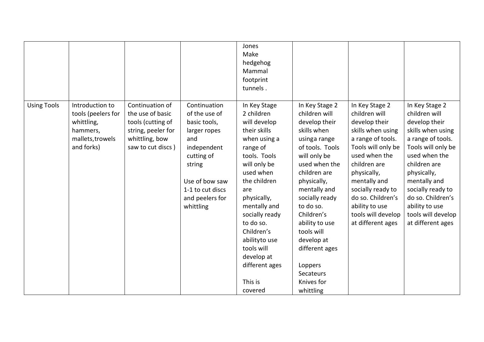|                    |                                                                                                   |                                                                                                                       |                                                                                                                                                                                   | Jones<br>Make<br>hedgehog<br>Mammal<br>footprint<br>tunnels.                                                                                                                                                                                                                                                                |                                                                                                                                                                                                                                                                                                                                                           |                                                                                                                                                                                                                                                                                         |                                                                                                                                                                                                                                                                                         |
|--------------------|---------------------------------------------------------------------------------------------------|-----------------------------------------------------------------------------------------------------------------------|-----------------------------------------------------------------------------------------------------------------------------------------------------------------------------------|-----------------------------------------------------------------------------------------------------------------------------------------------------------------------------------------------------------------------------------------------------------------------------------------------------------------------------|-----------------------------------------------------------------------------------------------------------------------------------------------------------------------------------------------------------------------------------------------------------------------------------------------------------------------------------------------------------|-----------------------------------------------------------------------------------------------------------------------------------------------------------------------------------------------------------------------------------------------------------------------------------------|-----------------------------------------------------------------------------------------------------------------------------------------------------------------------------------------------------------------------------------------------------------------------------------------|
| <b>Using Tools</b> | Introduction to<br>tools (peelers for<br>whittling,<br>hammers,<br>mallets, trowels<br>and forks) | Continuation of<br>the use of basic<br>tools (cutting of<br>string, peeler for<br>whittling, bow<br>saw to cut discs) | Continuation<br>of the use of<br>basic tools,<br>larger ropes<br>and<br>independent<br>cutting of<br>string<br>Use of bow saw<br>1-1 to cut discs<br>and peelers for<br>whittling | In Key Stage<br>2 children<br>will develop<br>their skills<br>when using a<br>range of<br>tools. Tools<br>will only be<br>used when<br>the children<br>are<br>physically,<br>mentally and<br>socially ready<br>to do so.<br>Children's<br>abilityto use<br>tools will<br>develop at<br>different ages<br>This is<br>covered | In Key Stage 2<br>children will<br>develop their<br>skills when<br>usinga range<br>of tools. Tools<br>will only be<br>used when the<br>children are<br>physically,<br>mentally and<br>socially ready<br>to do so.<br>Children's<br>ability to use<br>tools will<br>develop at<br>different ages<br>Loppers<br><b>Secateurs</b><br>Knives for<br>whittling | In Key Stage 2<br>children will<br>develop their<br>skills when using<br>a range of tools.<br>Tools will only be<br>used when the<br>children are<br>physically,<br>mentally and<br>socially ready to<br>do so. Children's<br>ability to use<br>tools will develop<br>at different ages | In Key Stage 2<br>children will<br>develop their<br>skills when using<br>a range of tools.<br>Tools will only be<br>used when the<br>children are<br>physically,<br>mentally and<br>socially ready to<br>do so. Children's<br>ability to use<br>tools will develop<br>at different ages |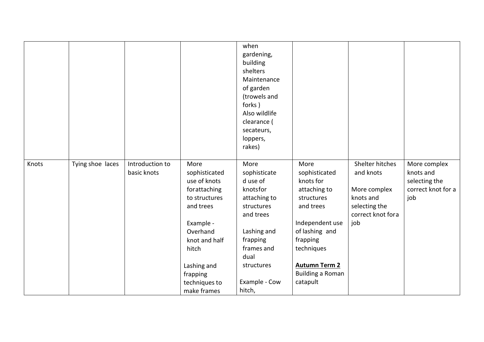|       |                  |                                |                                                                                                                                                                                                   | when<br>gardening,<br>building<br>shelters<br>Maintenance<br>of garden<br>(trowels and<br>forks)<br>Also wildlife<br>clearance (<br>secateurs,<br>loppers,<br>rakes)              |                                                                                                                                                                                                             |                                                                                                        |                                                                         |
|-------|------------------|--------------------------------|---------------------------------------------------------------------------------------------------------------------------------------------------------------------------------------------------|-----------------------------------------------------------------------------------------------------------------------------------------------------------------------------------|-------------------------------------------------------------------------------------------------------------------------------------------------------------------------------------------------------------|--------------------------------------------------------------------------------------------------------|-------------------------------------------------------------------------|
| Knots | Tying shoe laces | Introduction to<br>basic knots | More<br>sophisticated<br>use of knots<br>forattaching<br>to structures<br>and trees<br>Example -<br>Overhand<br>knot and half<br>hitch<br>Lashing and<br>frapping<br>techniques to<br>make frames | More<br>sophisticate<br>d use of<br>knotsfor<br>attaching to<br>structures<br>and trees<br>Lashing and<br>frapping<br>frames and<br>dual<br>structures<br>Example - Cow<br>hitch, | More<br>sophisticated<br>knots for<br>attaching to<br>structures<br>and trees<br>Independent use<br>of lashing and<br>frapping<br>techniques<br><b>Autumn Term 2</b><br><b>Building a Roman</b><br>catapult | Shelter hitches<br>and knots<br>More complex<br>knots and<br>selecting the<br>correct knot fora<br>job | More complex<br>knots and<br>selecting the<br>correct knot for a<br>job |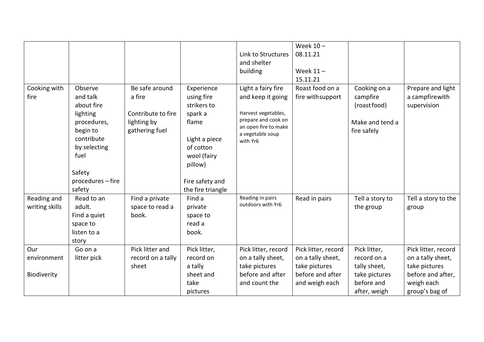|                      |                                   |                               |                                         |                                             | Week $10 -$                          |                                          |                                                    |
|----------------------|-----------------------------------|-------------------------------|-----------------------------------------|---------------------------------------------|--------------------------------------|------------------------------------------|----------------------------------------------------|
|                      |                                   |                               |                                         | Link to Structures                          | 08.11.21                             |                                          |                                                    |
|                      |                                   |                               |                                         | and shelter                                 |                                      |                                          |                                                    |
|                      |                                   |                               |                                         | building                                    | Week $11 -$                          |                                          |                                                    |
|                      |                                   |                               |                                         |                                             | 15.11.21                             |                                          |                                                    |
| Cooking with<br>fire | Observe<br>and talk<br>about fire | Be safe around<br>a fire      | Experience<br>using fire<br>strikers to | Light a fairy fire<br>and keep it going     | Roast food on a<br>fire with support | Cooking on a<br>campfire<br>(roast food) | Prepare and light<br>a campfirewith<br>supervision |
|                      | lighting                          | Contribute to fire            | spark a                                 | Harvest vegetables,                         |                                      |                                          |                                                    |
|                      | procedures,<br>begin to           | lighting by<br>gathering fuel | flame                                   | prepare and cook on<br>an open fire to make |                                      | Make and tend a<br>fire safely           |                                                    |
|                      | contribute                        |                               | Light a piece                           | a vegetable soup<br>with Yr6                |                                      |                                          |                                                    |
|                      | by selecting                      |                               | of cotton                               |                                             |                                      |                                          |                                                    |
|                      | fuel                              |                               | wool (fairy                             |                                             |                                      |                                          |                                                    |
|                      |                                   |                               | pillow)                                 |                                             |                                      |                                          |                                                    |
|                      | Safety                            |                               |                                         |                                             |                                      |                                          |                                                    |
|                      | procedures - fire                 |                               | Fire safety and                         |                                             |                                      |                                          |                                                    |
|                      | safety                            |                               | the fire triangle                       |                                             |                                      |                                          |                                                    |
| Reading and          | Read to an                        | Find a private                | Find a                                  | Reading in pairs                            | Read in pairs                        | Tell a story to                          | Tell a story to the                                |
| writing skills       | adult.                            | space to read a               | private                                 | outdoors with Yr6                           |                                      | the group                                | group                                              |
|                      | Find a quiet                      | book.                         | space to                                |                                             |                                      |                                          |                                                    |
|                      | space to                          |                               | read a                                  |                                             |                                      |                                          |                                                    |
|                      | listen to a                       |                               | book.                                   |                                             |                                      |                                          |                                                    |
|                      | story                             |                               |                                         |                                             |                                      |                                          |                                                    |
| Our                  | Go on a                           | Pick litter and               | Pick litter,                            | Pick litter, record                         | Pick litter, record                  | Pick litter,                             | Pick litter, record                                |
| environment          | litter pick                       | record on a tally             | record on                               | on a tally sheet,                           | on a tally sheet,                    | record on a                              | on a tally sheet,                                  |
|                      |                                   | sheet                         | a tally                                 | take pictures                               | take pictures                        | tally sheet,                             | take pictures                                      |
| Biodiverity          |                                   |                               | sheet and                               | before and after                            | before and after                     | take pictures                            | before and after,                                  |
|                      |                                   |                               | take                                    | and count the                               | and weigh each                       | before and                               | weigh each                                         |
|                      |                                   |                               | pictures                                |                                             |                                      | after, weigh                             | group's bag of                                     |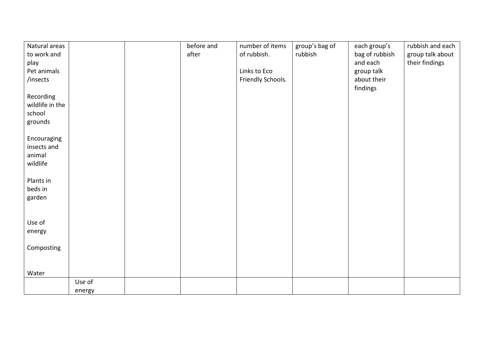| Natural areas   |        | before and | number of items   | group's bag of | each group's   | rubbish and each |
|-----------------|--------|------------|-------------------|----------------|----------------|------------------|
| to work and     |        | after      | of rubbish.       | rubbish        |                |                  |
|                 |        |            |                   |                | bag of rubbish | group talk about |
| play            |        |            |                   |                | and each       | their findings   |
| Pet animals     |        |            | Links to Eco      |                | group talk     |                  |
| /insects        |        |            | Friendly Schools. |                | about their    |                  |
|                 |        |            |                   |                | findings       |                  |
| Recording       |        |            |                   |                |                |                  |
| wildlife in the |        |            |                   |                |                |                  |
| school          |        |            |                   |                |                |                  |
|                 |        |            |                   |                |                |                  |
| grounds         |        |            |                   |                |                |                  |
|                 |        |            |                   |                |                |                  |
| Encouraging     |        |            |                   |                |                |                  |
| insects and     |        |            |                   |                |                |                  |
| animal          |        |            |                   |                |                |                  |
| wildlife        |        |            |                   |                |                |                  |
|                 |        |            |                   |                |                |                  |
| Plants in       |        |            |                   |                |                |                  |
| beds in         |        |            |                   |                |                |                  |
| garden          |        |            |                   |                |                |                  |
|                 |        |            |                   |                |                |                  |
|                 |        |            |                   |                |                |                  |
|                 |        |            |                   |                |                |                  |
| Use of          |        |            |                   |                |                |                  |
| energy          |        |            |                   |                |                |                  |
|                 |        |            |                   |                |                |                  |
| Composting      |        |            |                   |                |                |                  |
|                 |        |            |                   |                |                |                  |
|                 |        |            |                   |                |                |                  |
| Water           |        |            |                   |                |                |                  |
|                 | Use of |            |                   |                |                |                  |
|                 | energy |            |                   |                |                |                  |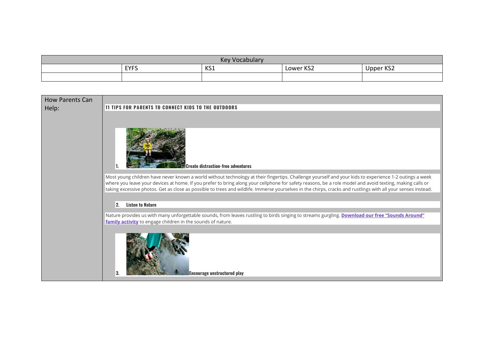| <b>Key Vocabulary</b> |             |     |           |                       |
|-----------------------|-------------|-----|-----------|-----------------------|
|                       | <b>EYFS</b> | KS1 | Lower KS2 | 1001<br>Upper<br>NJ 4 |
|                       |             |     |           |                       |

| <b>How Parents Can</b> |                                                                                                                                                                                                                                                                                                                                                                                                                                                                                     |
|------------------------|-------------------------------------------------------------------------------------------------------------------------------------------------------------------------------------------------------------------------------------------------------------------------------------------------------------------------------------------------------------------------------------------------------------------------------------------------------------------------------------|
| Help:                  | <b>11 TIPS FOR PARENTS TO CONNECT KIDS TO THE OUTDOORS</b>                                                                                                                                                                                                                                                                                                                                                                                                                          |
|                        |                                                                                                                                                                                                                                                                                                                                                                                                                                                                                     |
|                        | <b>Create distraction-free adventures</b>                                                                                                                                                                                                                                                                                                                                                                                                                                           |
|                        | Most young children have never known a world without technology at their fingertips. Challenge yourself and your kids to experience 1-2 outings a week<br>where you leave your devices at home. If you prefer to bring along your cellphone for safety reasons, be a role model and avoid texting, making calls or<br>taking excessive photos. Get as close as possible to trees and wildlife. Immerse yourselves in the chirps, cracks and rustlings with all your senses instead. |
|                        | 2.<br><b>Listen to Nature</b>                                                                                                                                                                                                                                                                                                                                                                                                                                                       |
|                        | Nature provides us with many unforgettable sounds, from leaves rustling to birds singing to streams gurgling. Download our free "Sounds Around"<br>family activity to engage children in the sounds of nature.                                                                                                                                                                                                                                                                      |
|                        | <b>Encourage unstructured play</b>                                                                                                                                                                                                                                                                                                                                                                                                                                                  |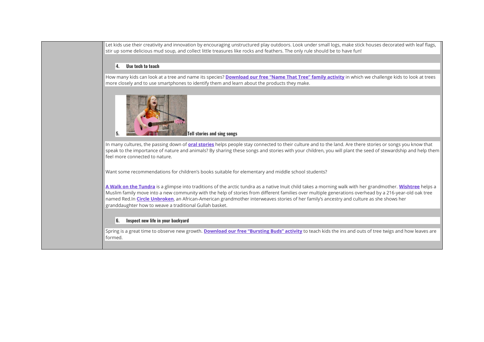Let kids use their creativity and innovation by encouraging unstructured play outdoors. Look under small logs, make stick houses decorated with leaf flags, stir up some delicious mud soup, and collect little treasures like rocks and feathers. The only rule should be to have fun!

## **4. Use tech to teach**

How many kids can look at a tree and name its species? **[Download our free "Name That Tree"](https://www.plt.org/wp-content/uploads/pdf/PLT_iTree_FamilyActivity1_NameThatTree.pdf) family activity** in which we challenge kids to look at trees more closely and to use smartphones to identify them and learn about the products they make.



In many cultures, the passing down of **[oral stories](https://www.plt.org/stem-strategies/tale-of-the-sun/)** helps people stay connected to their culture and to the land. Are there stories or songs you know that speak to the importance of nature and animals? By sharing these songs and stories with your children, you will plant the seed of stewardship and help them feel more connected to nature.

Want some recommendations for children's books suitable for elementary and middle school students?

**[A Walk on the Tundra](https://www.plt.org/recommended-reading/a-walk-on-the-tundra/)** is a glimpse into traditions of the arctic tundra as a native Inuit child takes a morning walk with her grandmother. **[Wishtree](https://www.plt.org/recommended-reading/wishtree/)** helps a Muslim family move into a new community with the help of stories from different families over multiple generations overhead by a 216-year-old oak tree named Red.In **[Circle Unbroken](https://www.plt.org/recommended-reading/circle-unbroken-the-story-of-a-basket-and-its-people/)**, an African-American grandmother interweaves stories of her family's ancestry and culture as she shows her granddaughter how to weave a traditional Gullah basket.

## **6. Inspect new life in your backyard**

Spring is a great time to observe new growth. **[Download our free "Bursting Buds" activity](https://www.plt.org/family-activity/bursting-buds/)** to teach kids the ins and outs of tree twigs and how leaves are formed.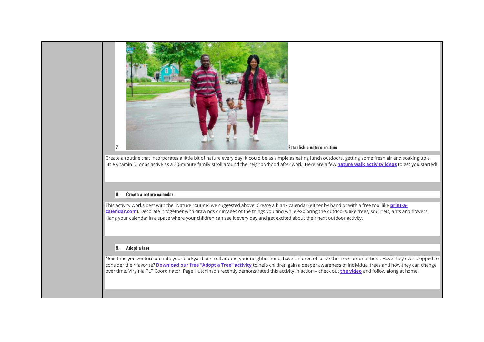

Create a routine that incorporates a little bit of nature every day. It could be as simple as eating lunch outdoors, getting some fresh air and soaking up a little vitamin D, or as active as a 30-minute family stroll around the neighborhood after work. Here are a few **[nature walk activity ideas](https://www.plt.org/educator-tips/nature-walk-activities)** to get you started!

## **8. Create a nature calendar**

This activity works best with the "Nature routine" we suggested above. Create a blank calendar (either by hand or with a free tool like **[print-a](http://www.print-a-calendar.com/)[calendar.com](http://www.print-a-calendar.com/)**). Decorate it together with drawings or images of the things you find while exploring the outdoors, like trees, squirrels, ants and flowers. Hang your calendar in a space where your children can see it every day and get excited about their next outdoor activity.

## **9. Adopt a tree**

Next time you venture out into your backyard or stroll around your neighborhood, have children observe the trees around them. Have they ever stopped to consider their favorite? **[Download our free "Adopt a Tree" activity](https://www.plt.org/family-activity/adopt-a-tree/)** to help children gain a deeper awareness of individual trees and how they can change over time. Virginia PLT Coordinator, Page Hutchinson recently demonstrated this activity in action – check out **[the video](https://www.youtube.com/watch?v=0Dd1Y1M-5Ck)** and follow along at home!